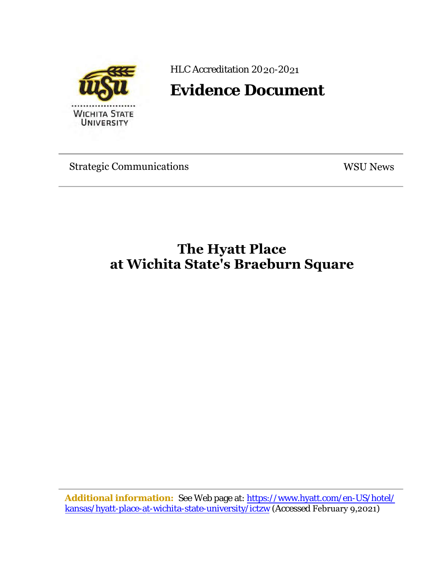

HLC Accreditation 2020-2021

**Evidence Document**

Strategic Communications WSU News

# **The Hyatt Place at Wichita State's Braeburn Square**

**Additional information:** See Web page at: htt[ps://www.hyatt.com/en-US/hote](https://www.hyatt.com/en-US/hotel/kansas/hyatt-place-at-wichita-state-university/ictzw)l/ [kansas/hyatt-place-at-wichita-state-university/ictzw](https://www.hyatt.com/en-US/hotel/kansas/hyatt-place-at-wichita-state-university/ictzw) (Accessed February 9,2021)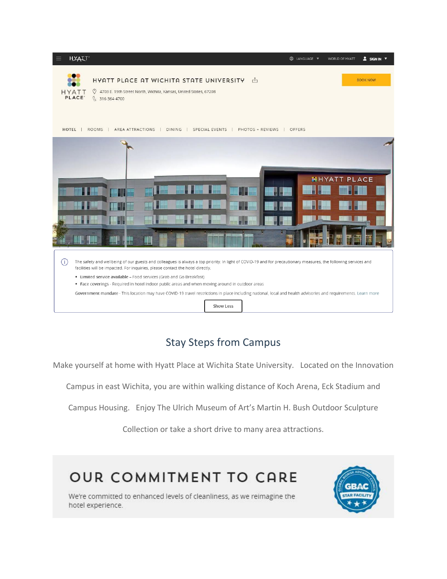

## Stay Steps from Campus

Make yourself at home with Hyatt Place at Wichita State University. Located on the Innovation

Campus in east Wichita, you are within walking distance of Koch Arena, Eck Stadium and

Campus Housing. Enjoy The Ulrich Museum of Art's Martin H. Bush Outdoor Sculpture

Collection or take a short drive to many area attractions.

# **OUR COMMITMENT TO CARE**



We're committed to enhanced levels of cleanliness, as we reimagine the hotel experience.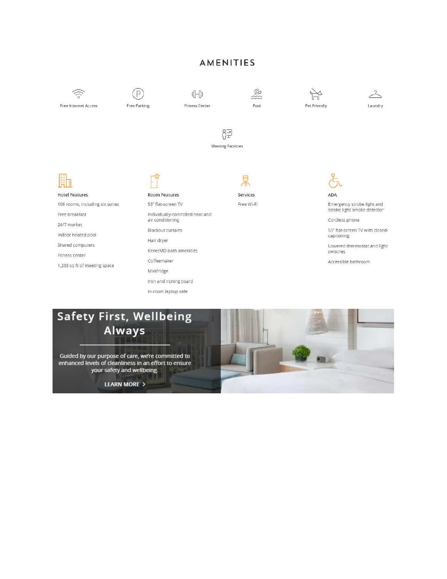#### **AMENITIES**



## **Safety First, Wellbeing** Always

Guided by our purpose of care, we're committed to enhanced levels of cleanliness in an effort to ensure your safety and wellbeing.

**LEARN MORE >** 

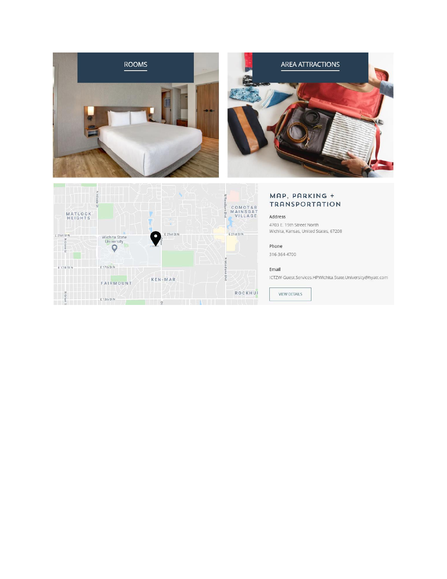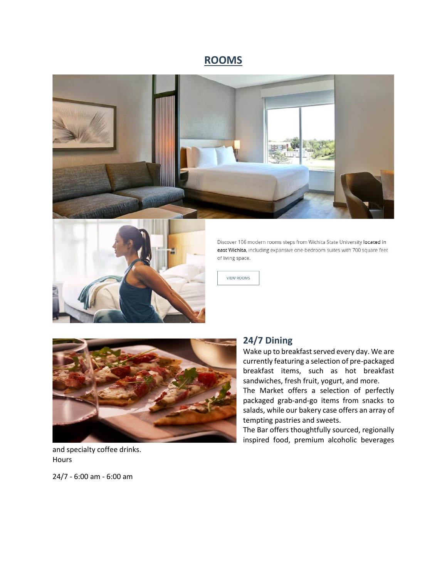### **ROOMS**





Discover 106 modern rooms steps from Wichita State University located in east Wichita, including expansive one-bedroom suites with 700 square feet of living space.

**VIEW ROOMS** 



#### and specialty coffee drinks. **Hours**

24/7 - 6:00 am - 6:00 am

#### **24/7 Dining**

Wake up to breakfast served every day. We are currently featuring a selection of pre-packaged breakfast items, such as hot breakfast sandwiches, fresh fruit, yogurt, and more.

The Market offers a selection of perfectly packaged grab-and-go items from snacks to salads, while our bakery case offers an array of tempting pastries and sweets.

The Bar offers thoughtfully sourced, regionally inspired food, premium alcoholic beverages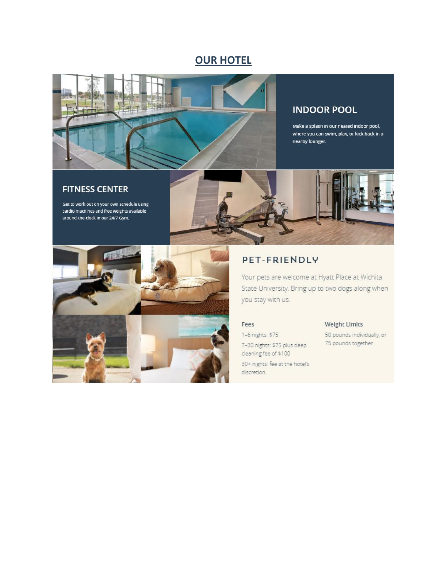### **OUR HOTEL**



#### **INDOOR POOL**

Make a splash in our heated indoor pool, where you can swim, play, or kick back in a nearby lounger.

#### **FITNESS CENTER**

Get to work out on your own schedule using cardio machines and free weights available around-the-clock in our 24/7 Gym.



#### PET-FRIENDLY

Your pets are welcome at Hyatt Place at Wichita State University. Bring up to two dogs along when you stay with us.

#### Fees

1-6 nights: \$75 7-30 nights: \$75 plus deep cleaning fee of \$100 30+ nights: fee at the hotel's discretion

#### Weight Limits

50 pounds individually, or 75 pounds together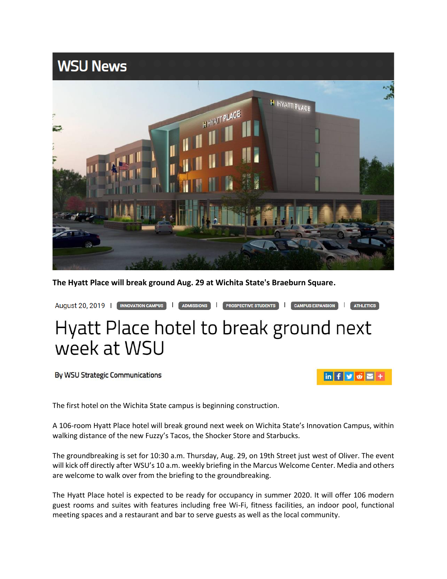

**The Hyatt Place will break ground Aug. 29 at Wichita State's Braeburn Square.**



By WSU Strategic Communications



The first hotel on the Wichita State campus is beginning construction.

A 106-room Hyatt Place hotel will break ground next week on Wichita State's Innovation Campus, within walking distance of the new Fuzzy's Tacos, the Shocker Store and Starbucks.

The groundbreaking is set for 10:30 a.m. Thursday, Aug. 29, on 19th Street just west of Oliver. The event will kick off directly after WSU's 10 a.m. weekly briefing in the Marcus Welcome Center. Media and others are welcome to walk over from the briefing to the groundbreaking.

The Hyatt Place hotel is expected to be ready for occupancy in summer 2020. It will offer 106 modern guest rooms and suites with features including free Wi-Fi, fitness facilities, an indoor pool, functional meeting spaces and a restaurant and bar to serve guests as well as the local community.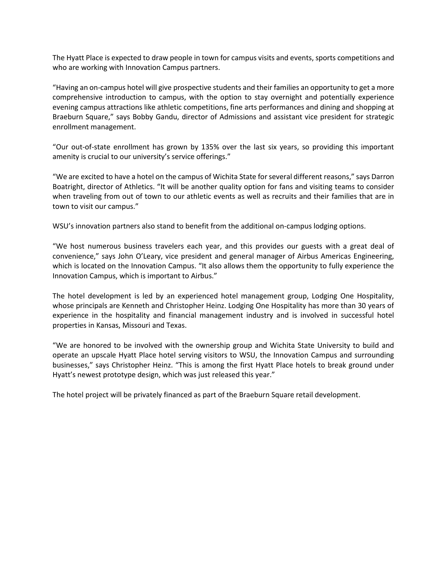The Hyatt Place is expected to draw people in town for campus visits and events, sports competitions and who are working with Innovation Campus partners.

"Having an on-campus hotel will give prospective students and their families an opportunity to get a more comprehensive introduction to campus, with the option to stay overnight and potentially experience evening campus attractions like athletic competitions, fine arts performances and dining and shopping at Braeburn Square," says Bobby Gandu, director of Admissions and assistant vice president for strategic enrollment management.

"Our out-of-state enrollment has grown by 135% over the last six years, so providing this important amenity is crucial to our university's service offerings."

"We are excited to have a hotel on the campus of Wichita State for several different reasons," says Darron Boatright, director of Athletics. "It will be another quality option for fans and visiting teams to consider when traveling from out of town to our athletic events as well as recruits and their families that are in town to visit our campus."

WSU's innovation partners also stand to benefit from the additional on-campus lodging options.

"We host numerous business travelers each year, and this provides our guests with a great deal of convenience," says John O'Leary, vice president and general manager of Airbus Americas Engineering, which is located on the Innovation Campus. "It also allows them the opportunity to fully experience the Innovation Campus, which is important to Airbus."

The hotel development is led by an experienced hotel management group, Lodging One Hospitality, whose principals are Kenneth and Christopher Heinz. Lodging One Hospitality has more than 30 years of experience in the hospitality and financial management industry and is involved in successful hotel properties in Kansas, Missouri and Texas.

"We are honored to be involved with the ownership group and Wichita State University to build and operate an upscale Hyatt Place hotel serving visitors to WSU, the Innovation Campus and surrounding businesses," says Christopher Heinz. "This is among the first Hyatt Place hotels to break ground under Hyatt's newest prototype design, which was just released this year."

The hotel project will be privately financed as part of the Braeburn Square retail development.